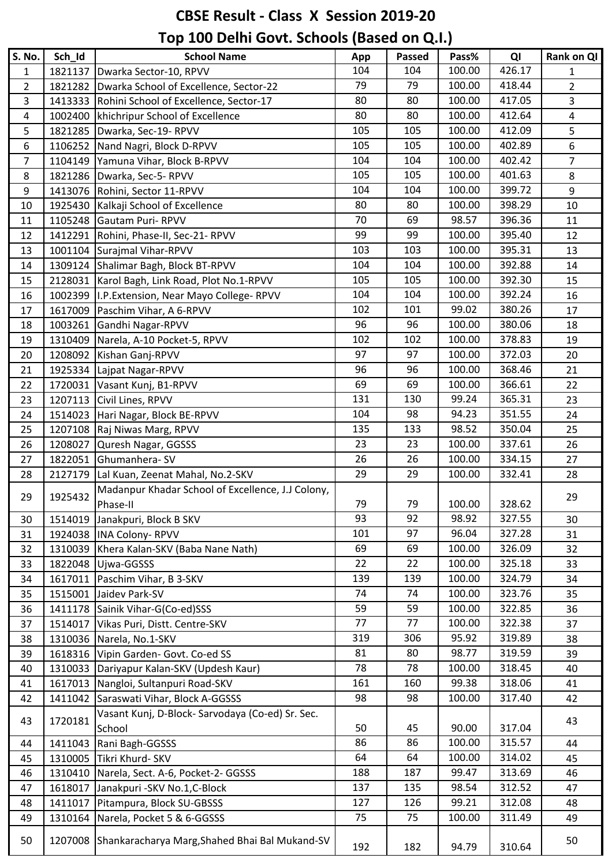## **CBSE Result - Class X Session 2019-20**

## **Top 100 Delhi Govt. Schools (Based on Q.I.)**

| <b>S. No.</b>  | Sch Id  | <b>School Name</b>                                        | App | Passed | Pass%  | QI     | Rank on QI     |
|----------------|---------|-----------------------------------------------------------|-----|--------|--------|--------|----------------|
| $\mathbf{1}$   | 1821137 | Dwarka Sector-10, RPVV                                    | 104 | 104    | 100.00 | 426.17 | $\mathbf 1$    |
| $\overline{2}$ |         | 1821282 Dwarka School of Excellence, Sector-22            | 79  | 79     | 100.00 | 418.44 | $\overline{2}$ |
| 3              |         | 1413333 Rohini School of Excellence, Sector-17            | 80  | 80     | 100.00 | 417.05 | $\overline{3}$ |
| 4              |         | 1002400   khichripur School of Excellence                 | 80  | 80     | 100.00 | 412.64 | $\overline{4}$ |
| 5              |         | 1821285   Dwarka, Sec-19- RPVV                            | 105 | 105    | 100.00 | 412.09 | 5              |
| 6              |         | 1106252 Nand Nagri, Block D-RPVV                          | 105 | 105    | 100.00 | 402.89 | 6              |
| $\overline{7}$ |         | 1104149 Yamuna Vihar, Block B-RPVV                        | 104 | 104    | 100.00 | 402.42 | $\overline{7}$ |
| 8              |         | 1821286   Dwarka, Sec-5- RPVV                             | 105 | 105    | 100.00 | 401.63 | 8              |
| 9              |         | 1413076 Rohini, Sector 11-RPVV                            | 104 | 104    | 100.00 | 399.72 | 9              |
| 10             |         | 1925430 Kalkaji School of Excellence                      | 80  | 80     | 100.00 | 398.29 | 10             |
| 11             |         | 1105248 Gautam Puri-RPVV                                  | 70  | 69     | 98.57  | 396.36 | 11             |
| 12             |         | 1412291 Rohini, Phase-II, Sec-21- RPVV                    | 99  | 99     | 100.00 | 395.40 | 12             |
| 13             |         | 1001104 Surajmal Vihar-RPVV                               | 103 | 103    | 100.00 | 395.31 | 13             |
| 14             |         | 1309124 Shalimar Bagh, Block BT-RPVV                      | 104 | 104    | 100.00 | 392.88 | 14             |
| 15             |         | 2128031   Karol Bagh, Link Road, Plot No.1-RPVV           | 105 | 105    | 100.00 | 392.30 | 15             |
| 16             |         | 1002399   I.P. Extension, Near Mayo College-RPVV          | 104 | 104    | 100.00 | 392.24 | 16             |
| 17             |         | 1617009 Paschim Vihar, A 6-RPVV                           | 102 | 101    | 99.02  | 380.26 | 17             |
| 18             |         | 1003261 Gandhi Nagar-RPVV                                 | 96  | 96     | 100.00 | 380.06 | 18             |
| 19             |         | 1310409 Narela, A-10 Pocket-5, RPVV                       | 102 | 102    | 100.00 | 378.83 | 19             |
| 20             |         | 1208092 Kishan Ganj-RPVV                                  | 97  | 97     | 100.00 | 372.03 | 20             |
| 21             |         | 1925334 Lajpat Nagar-RPVV                                 | 96  | 96     | 100.00 | 368.46 | 21             |
| 22             |         | 1720031 Vasant Kunj, B1-RPVV                              | 69  | 69     | 100.00 | 366.61 | 22             |
| 23             |         | 1207113 Civil Lines, RPVV                                 | 131 | 130    | 99.24  | 365.31 | 23             |
| 24             |         | 1514023 Hari Nagar, Block BE-RPVV                         | 104 | 98     | 94.23  | 351.55 | 24             |
| 25             |         | 1207108 Raj Niwas Marg, RPVV                              | 135 | 133    | 98.52  | 350.04 | 25             |
| 26             | 1208027 | Quresh Nagar, GGSSS                                       | 23  | 23     | 100.00 | 337.61 | 26             |
| 27             |         | 1822051 Ghumanhera-SV                                     | 26  | 26     | 100.00 | 334.15 | 27             |
| 28             | 2127179 | Lal Kuan, Zeenat Mahal, No.2-SKV                          | 29  | 29     | 100.00 | 332.41 | 28             |
|                | 1925432 | Madanpur Khadar School of Excellence, J.J Colony,         |     |        |        |        | 29             |
| 29             |         | Phase-II                                                  | 79  | 79     | 100.00 | 328.62 |                |
| 30             | 1514019 | Janakpuri, Block B SKV                                    | 93  | 92     | 98.92  | 327.55 | 30             |
| 31             |         | 1924038  INA Colony-RPVV                                  | 101 | 97     | 96.04  | 327.28 | 31             |
| 32             |         | 1310039 Khera Kalan-SKV (Baba Nane Nath)                  | 69  | 69     | 100.00 | 326.09 | 32             |
| 33             |         | 1822048 Ujwa-GGSSS                                        | 22  | 22     | 100.00 | 325.18 | 33             |
| 34             |         | 1617011 Paschim Vihar, B 3-SKV                            | 139 | 139    | 100.00 | 324.79 | 34             |
| 35             |         | 1515001 Jaidev Park-SV                                    | 74  | 74     | 100.00 | 323.76 | 35             |
| 36             |         | 1411178 Sainik Vihar-G(Co-ed)SSS                          | 59  | 59     | 100.00 | 322.85 | 36             |
| 37             |         | 1514017 Vikas Puri, Distt. Centre-SKV                     | 77  | 77     | 100.00 | 322.38 | 37             |
| 38             |         | 1310036 Narela, No.1-SKV                                  | 319 | 306    | 95.92  | 319.89 | 38             |
| 39             |         | 1618316 Vipin Garden- Govt. Co-ed SS                      | 81  | 80     | 98.77  | 319.59 | 39             |
| 40             |         | 1310033 Dariyapur Kalan-SKV (Updesh Kaur)                 | 78  | 78     | 100.00 | 318.45 | 40             |
| 41             |         | 1617013 Nangloi, Sultanpuri Road-SKV                      | 161 | 160    | 99.38  | 318.06 | 41             |
| 42             |         | 1411042 Saraswati Vihar, Block A-GGSSS                    | 98  | 98     | 100.00 | 317.40 | 42             |
|                |         |                                                           |     |        |        |        |                |
| 43             | 1720181 | Vasant Kunj, D-Block-Sarvodaya (Co-ed) Sr. Sec.<br>School | 50  | 45     | 90.00  | 317.04 | 43             |
|                |         |                                                           |     |        |        |        |                |
| 44             |         | 1411043 Rani Bagh-GGSSS                                   | 86  | 86     | 100.00 | 315.57 | 44             |
| 45             |         | 1310005 Tikri Khurd- SKV                                  | 64  | 64     | 100.00 | 314.02 | 45             |
| 46             |         | 1310410 Narela, Sect. A-6, Pocket-2- GGSSS                | 188 | 187    | 99.47  | 313.69 | 46             |
| 47             |         | 1618017 Janakpuri - SKV No.1, C-Block                     | 137 | 135    | 98.54  | 312.52 | 47             |
| 48             | 1411017 | Pitampura, Block SU-GBSSS                                 | 127 | 126    | 99.21  | 312.08 | 48             |
| 49             |         | 1310164 Narela, Pocket 5 & 6-GGSSS                        | 75  | 75     | 100.00 | 311.49 | 49             |
| 50             |         | 1207008 Shankaracharya Marg, Shahed Bhai Bal Mukand-SV    | 192 | 182    | 94.79  | 310.64 | 50             |